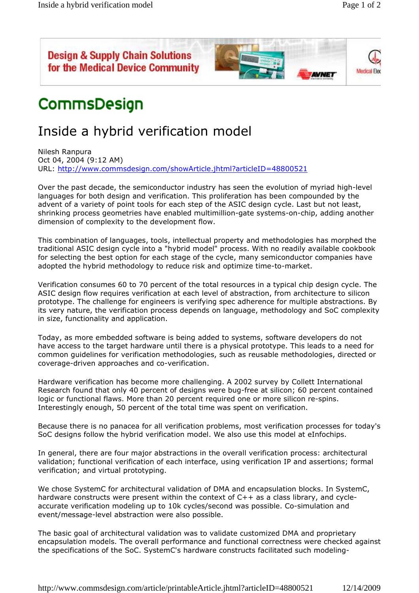



## CommsDesign

## Inside a hybrid verification model

Nilesh Ranpura Oct 04, 2004 (9:12 AM) URL: http://www.commsdesign.com/showArticle.jhtml?articleID=48800521

Over the past decade, the semiconductor industry has seen the evolution of myriad high-level languages for both design and verification. This proliferation has been compounded by the advent of a variety of point tools for each step of the ASIC design cycle. Last but not least, shrinking process geometries have enabled multimillion-gate systems-on-chip, adding another dimension of complexity to the development flow.

This combination of languages, tools, intellectual property and methodologies has morphed the traditional ASIC design cycle into a "hybrid model" process. With no readily available cookbook for selecting the best option for each stage of the cycle, many semiconductor companies have adopted the hybrid methodology to reduce risk and optimize time-to-market.

Verification consumes 60 to 70 percent of the total resources in a typical chip design cycle. The ASIC design flow requires verification at each level of abstraction, from architecture to silicon prototype. The challenge for engineers is verifying spec adherence for multiple abstractions. By its very nature, the verification process depends on language, methodology and SoC complexity in size, functionality and application.

Today, as more embedded software is being added to systems, software developers do not have access to the target hardware until there is a physical prototype. This leads to a need for common guidelines for verification methodologies, such as reusable methodologies, directed or coverage-driven approaches and co-verification.

Hardware verification has become more challenging. A 2002 survey by Collett International Research found that only 40 percent of designs were bug-free at silicon; 60 percent contained logic or functional flaws. More than 20 percent required one or more silicon re-spins. Interestingly enough, 50 percent of the total time was spent on verification.

Because there is no panacea for all verification problems, most verification processes for today's SoC designs follow the hybrid verification model. We also use this model at eInfochips.

In general, there are four major abstractions in the overall verification process: architectural validation; functional verification of each interface, using verification IP and assertions; formal verification; and virtual prototyping.

We chose SystemC for architectural validation of DMA and encapsulation blocks. In SystemC, hardware constructs were present within the context of C++ as a class library, and cycleaccurate verification modeling up to 10k cycles/second was possible. Co-simulation and event/message-level abstraction were also possible.

The basic goal of architectural validation was to validate customized DMA and proprietary encapsulation models. The overall performance and functional correctness were checked against the specifications of the SoC. SystemC's hardware constructs facilitated such modeling